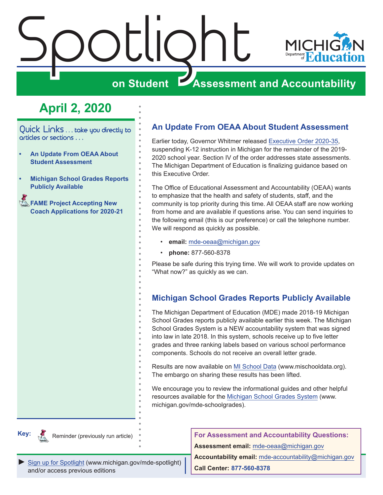<span id="page-0-0"></span>



Quick Links ... take you directly to articles or sections . . .

- **• An Update From OEAA About Student Assessment**
- **• Michigan School Grades Reports Publicly Available**
- **Reminder Accepting New Accepting New Acception [Coach Applications for 2020-21](#page-1-0)**

## **An Update From OEAA About Student Assessment**

Earlier today, Governor Whitmer released [Executive Order 2020-35,](https://www.michigan.gov/whitmer/0,9309,7-387-90499_90705-524032--,00.html) suspending K-12 instruction in Michigan for the remainder of the 2019- 2020 school year. Section IV of the order addresses state assessments. The Michigan Department of Education is finalizing guidance based on this Executive Order.

The Office of Educational Assessment and Accountability (OEAA) wants to emphasize that the health and safety of students, staff, and the community is top priority during this time. All OEAA staff are now working from home and are available if questions arise. You can send inquiries to the following email (this is our preference) or call the telephone number. We will respond as quickly as possible.

- **email:** [mde-oeaa@michigan.gov](mailto:mde-oeaa%40michigan.gov?subject=)
- **phone:** 877-560-8378

Please be safe during this trying time. We will work to provide updates on "What now?" as quickly as we can.

## **Michigan School Grades Reports Publicly Available**

The Michigan Department of Education (MDE) made 2018-19 Michigan School Grades reports publicly available earlier this week. The Michigan School Grades System is a NEW accountability system that was signed into law in late 2018. In this system, schools receive up to five letter grades and three ranking labels based on various school performance components. Schools do not receive an overall letter grade.

Results are now available on [MI School Data](http://www.mischooldata.org) (www.mischooldata.org). The embargo on sharing these results has been lifted.

We encourage you to review the informational guides and other helpful resources available for the [Michigan School Grades System](http://www.michigan.gov/mde-schoolgrades) (www. michigan.gov/mde-schoolgrades).



Reminder (previously run article)

**For Assessment and Accountability Questions:**

**Assessment email:** mde-oea[a@michigan.gov](mailto:mde-oeaa%40michigan.gov?subject=assessment%20question)

*►* [Sign up for Spotlight](https://public.govdelivery.com/accounts/MIMDE/subscriber/new) ([www.michigan.gov/mde-](www.michigan.gov/mde-spotlight)spotlight) and/or access previous editions

**Accountability email:** mde[-accountability@michigan.gov](mailto:MDE-Accountability%40michigan.gov?subject=Accountability%20question) **Call Center: 877-560-8378**